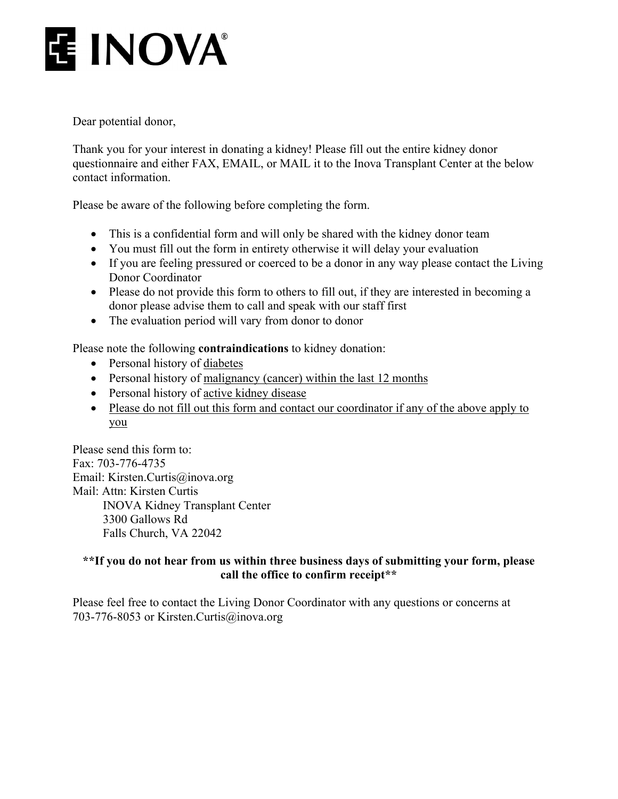# **E INOVA**

Dear potential donor,

Thank you for your interest in donating a kidney! Please fill out the entire kidney donor questionnaire and either FAX, EMAIL, or MAIL it to the Inova Transplant Center at the below contact information.

Please be aware of the following before completing the form.

- This is a confidential form and will only be shared with the kidney donor team
- You must fill out the form in entirety otherwise it will delay your evaluation
- If you are feeling pressured or coerced to be a donor in any way please contact the Living Donor Coordinator
- Please do not provide this form to others to fill out, if they are interested in becoming a donor please advise them to call and speak with our staff first
- The evaluation period will vary from donor to donor

Please note the following **contraindications** to kidney donation:

- Personal history of diabetes
- Personal history of malignancy (cancer) within the last 12 months
- Personal history of active kidney disease
- Please do not fill out this form and contact our coordinator if any of the above apply to you

Please send this form to: Fax: 703-776-4735 Email: Kirsten.Curtis@inova.org Mail: Attn: Kirsten Curtis INOVA Kidney Transplant Center 3300 Gallows Rd Falls Church, VA 22042

#### **\*\*If you do not hear from us within three business days of submitting your form, please call the office to confirm receipt\*\***

Please feel free to contact the Living Donor Coordinator with any questions or concerns at 703-776-8053 or Kirsten.Curtis@inova.org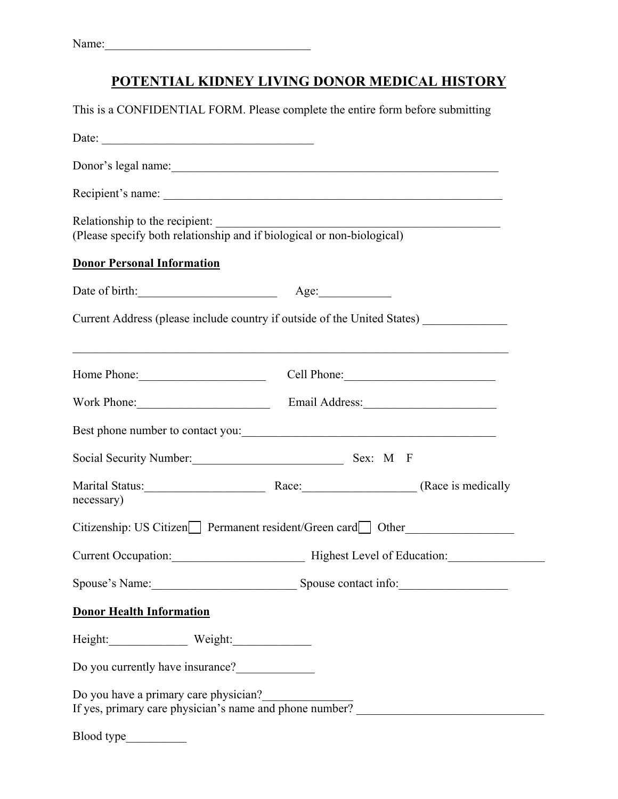## **POTENTIAL KIDNEY LIVING DONOR MEDICAL HISTORY**

| This is a CONFIDENTIAL FORM. Please complete the entire form before submitting                                                             |                                                 |                                                      |  |
|--------------------------------------------------------------------------------------------------------------------------------------------|-------------------------------------------------|------------------------------------------------------|--|
| Date: $\frac{1}{2}$                                                                                                                        |                                                 |                                                      |  |
| Donor's legal name:                                                                                                                        |                                                 |                                                      |  |
|                                                                                                                                            |                                                 |                                                      |  |
| Relationship to the recipient:<br>Relationship to the recipient:<br>(Please specify both relationship and if biological or non-biological) |                                                 |                                                      |  |
| <b>Donor Personal Information</b>                                                                                                          |                                                 |                                                      |  |
| Date of birth: Age: Age:                                                                                                                   |                                                 |                                                      |  |
| Current Address (please include country if outside of the United States) ____________                                                      |                                                 | <u> 1989 - Johann Barn, fransk politik (d. 1989)</u> |  |
| Home Phone: Cell Phone: Cell Phone:                                                                                                        |                                                 |                                                      |  |
| Work Phone: Email Address:                                                                                                                 |                                                 |                                                      |  |
| Best phone number to contact you:                                                                                                          |                                                 |                                                      |  |
| Social Security Number: Sex: M F                                                                                                           |                                                 |                                                      |  |
| necessary)                                                                                                                                 |                                                 |                                                      |  |
| Citizenship: US Citizen Permanent resident/Green card Other                                                                                |                                                 |                                                      |  |
|                                                                                                                                            | Current Occupation: Highest Level of Education: |                                                      |  |
| Spouse's Name: Spouse contact info:                                                                                                        |                                                 |                                                      |  |
| <b>Donor Health Information</b>                                                                                                            |                                                 |                                                      |  |
|                                                                                                                                            |                                                 |                                                      |  |
| Do you currently have insurance?                                                                                                           |                                                 |                                                      |  |
| Do you have a primary care physician?<br>If yes, primary care physician's name and phone number?                                           |                                                 |                                                      |  |
|                                                                                                                                            |                                                 |                                                      |  |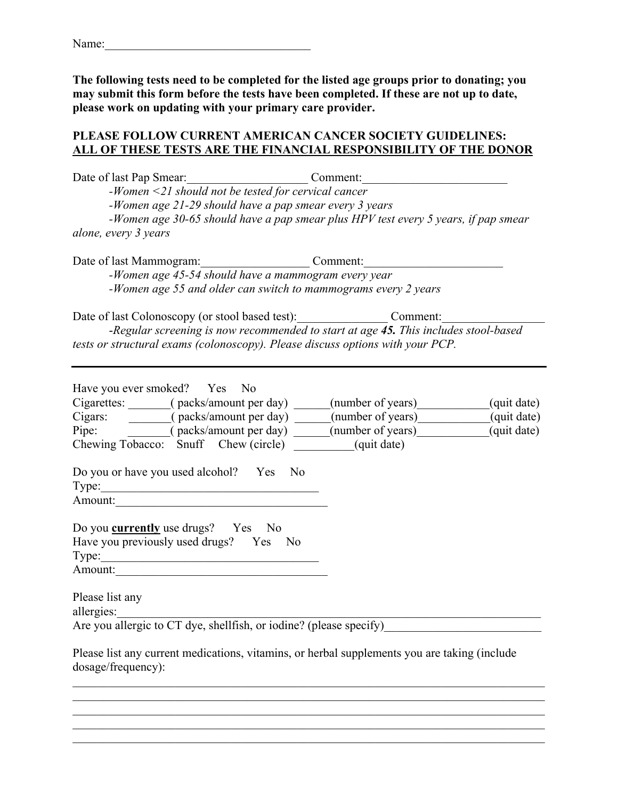**The following tests need to be completed for the listed age groups prior to donating; you may submit this form before the tests have been completed. If these are not up to date, please work on updating with your primary care provider.** 

#### **PLEASE FOLLOW CURRENT AMERICAN CANCER SOCIETY GUIDELINES: ALL OF THESE TESTS ARE THE FINANCIAL RESPONSIBILITY OF THE DONOR**

| Date of last Pap Smear: Comment:<br>-Women <21 should not be tested for cervical cancer<br>-Women age 21-29 should have a pap smear every 3 years<br>-Women age 30-65 should have a pap smear plus HPV test every 5 years, if pap smear<br>alone, every 3 years<br>Date of last Mammogram: Comment:<br>-Women age 45-54 should have a mammogram every year<br>-Women age 55 and older can switch to mammograms every 2 years                                                             |                            |
|------------------------------------------------------------------------------------------------------------------------------------------------------------------------------------------------------------------------------------------------------------------------------------------------------------------------------------------------------------------------------------------------------------------------------------------------------------------------------------------|----------------------------|
| Date of last Colonoscopy (or stool based test): Comment:<br>-Regular screening is now recommended to start at age 45. This includes stool-based<br>tests or structural exams (colonoscopy). Please discuss options with your PCP.                                                                                                                                                                                                                                                        |                            |
| Have you ever smoked? Yes No<br>Cigarettes: _______(packs/amount per day) _____(number of years) _______________<br>Cigars: ________(packs/amount per day) _____(number of years) __________________<br>Pipe: (packs/amount per day) _____(number of years) _________(quit date)<br>Chewing Tobacco: Snuff Chew (circle) _________(quit date)<br>Do you or have you used alcohol? Yes No<br>Type:<br>Do you <b>currently</b> use drugs? Yes No<br>Have you previously used drugs? Yes No | (quit date)<br>(quit date) |
| Amount:<br>Please list any<br>allergies:<br>Are you allergic to CT dye, shellfish, or iodine? (please specify)<br>Please list any current medications, vitamins, or herbal supplements you are taking (include                                                                                                                                                                                                                                                                           |                            |
| dosage/frequency):                                                                                                                                                                                                                                                                                                                                                                                                                                                                       |                            |

 $\mathcal{L}_\mathcal{L} = \{ \mathcal{L}_\mathcal{L} = \{ \mathcal{L}_\mathcal{L} = \{ \mathcal{L}_\mathcal{L} = \{ \mathcal{L}_\mathcal{L} = \{ \mathcal{L}_\mathcal{L} = \{ \mathcal{L}_\mathcal{L} = \{ \mathcal{L}_\mathcal{L} = \{ \mathcal{L}_\mathcal{L} = \{ \mathcal{L}_\mathcal{L} = \{ \mathcal{L}_\mathcal{L} = \{ \mathcal{L}_\mathcal{L} = \{ \mathcal{L}_\mathcal{L} = \{ \mathcal{L}_\mathcal{L} = \{ \mathcal{L}_\mathcal{$  $\mathcal{L}_\mathcal{L} = \mathcal{L}_\mathcal{L} = \mathcal{L}_\mathcal{L} = \mathcal{L}_\mathcal{L} = \mathcal{L}_\mathcal{L} = \mathcal{L}_\mathcal{L} = \mathcal{L}_\mathcal{L} = \mathcal{L}_\mathcal{L} = \mathcal{L}_\mathcal{L} = \mathcal{L}_\mathcal{L} = \mathcal{L}_\mathcal{L} = \mathcal{L}_\mathcal{L} = \mathcal{L}_\mathcal{L} = \mathcal{L}_\mathcal{L} = \mathcal{L}_\mathcal{L} = \mathcal{L}_\mathcal{L} = \mathcal{L}_\mathcal{L}$ 

 $\mathcal{L}_\mathcal{L} = \{ \mathcal{L}_\mathcal{L} = \{ \mathcal{L}_\mathcal{L} = \{ \mathcal{L}_\mathcal{L} = \{ \mathcal{L}_\mathcal{L} = \{ \mathcal{L}_\mathcal{L} = \{ \mathcal{L}_\mathcal{L} = \{ \mathcal{L}_\mathcal{L} = \{ \mathcal{L}_\mathcal{L} = \{ \mathcal{L}_\mathcal{L} = \{ \mathcal{L}_\mathcal{L} = \{ \mathcal{L}_\mathcal{L} = \{ \mathcal{L}_\mathcal{L} = \{ \mathcal{L}_\mathcal{L} = \{ \mathcal{L}_\mathcal{$ 

\_\_\_\_\_\_\_\_\_\_\_\_\_\_\_\_\_\_\_\_\_\_\_\_\_\_\_\_\_\_\_\_\_\_\_\_\_\_\_\_\_\_\_\_\_\_\_\_\_\_\_\_\_\_\_\_\_\_\_\_\_\_\_\_\_\_\_\_\_\_\_\_\_\_\_\_\_\_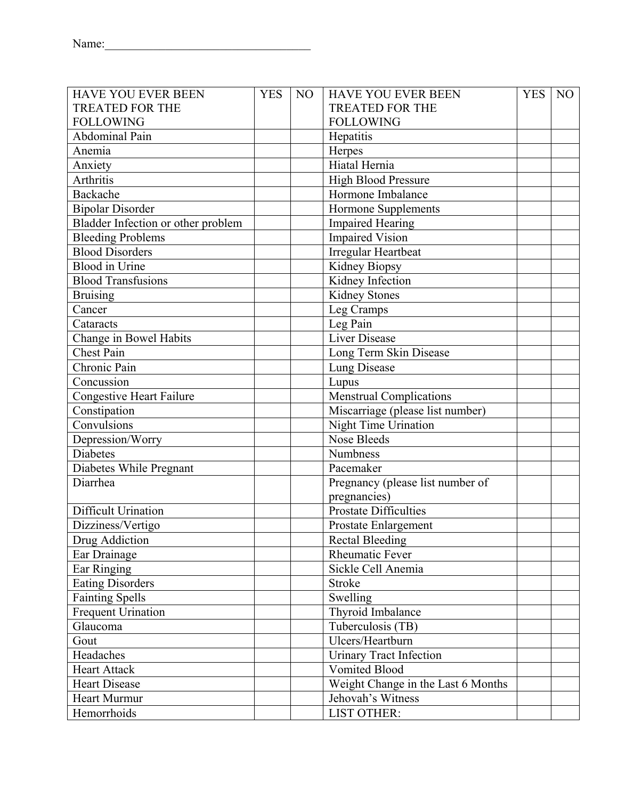| <b>HAVE YOU EVER BEEN</b>          | <b>YES</b> | N <sub>O</sub> | <b>HAVE YOU EVER BEEN</b>          | <b>YES</b> | N <sub>O</sub> |
|------------------------------------|------------|----------------|------------------------------------|------------|----------------|
| <b>TREATED FOR THE</b>             |            |                | <b>TREATED FOR THE</b>             |            |                |
| <b>FOLLOWING</b>                   |            |                | <b>FOLLOWING</b>                   |            |                |
| Abdominal Pain                     |            |                | Hepatitis                          |            |                |
| Anemia                             |            |                | Herpes                             |            |                |
| Anxiety                            |            |                | Hiatal Hernia                      |            |                |
| Arthritis                          |            |                | High Blood Pressure                |            |                |
| Backache                           |            |                | Hormone Imbalance                  |            |                |
| <b>Bipolar Disorder</b>            |            |                | Hormone Supplements                |            |                |
| Bladder Infection or other problem |            |                | <b>Impaired Hearing</b>            |            |                |
| <b>Bleeding Problems</b>           |            |                | Impaired Vision                    |            |                |
| <b>Blood Disorders</b>             |            |                | <b>Irregular Heartbeat</b>         |            |                |
| <b>Blood</b> in Urine              |            |                | Kidney Biopsy                      |            |                |
| <b>Blood Transfusions</b>          |            |                | Kidney Infection                   |            |                |
| <b>Bruising</b>                    |            |                | Kidney Stones                      |            |                |
| Cancer                             |            |                | Leg Cramps                         |            |                |
| Cataracts                          |            |                | Leg Pain                           |            |                |
| Change in Bowel Habits             |            |                | Liver Disease                      |            |                |
| <b>Chest Pain</b>                  |            |                | Long Term Skin Disease             |            |                |
| Chronic Pain                       |            |                | Lung Disease                       |            |                |
| Concussion                         |            |                | Lupus                              |            |                |
| <b>Congestive Heart Failure</b>    |            |                | <b>Menstrual Complications</b>     |            |                |
| Constipation                       |            |                | Miscarriage (please list number)   |            |                |
| Convulsions                        |            |                | Night Time Urination               |            |                |
| Depression/Worry                   |            |                | Nose Bleeds                        |            |                |
| <b>Diabetes</b>                    |            |                | Numbness                           |            |                |
| Diabetes While Pregnant            |            |                | Pacemaker                          |            |                |
| Diarrhea                           |            |                | Pregnancy (please list number of   |            |                |
|                                    |            |                | pregnancies)                       |            |                |
| Difficult Urination                |            |                | Prostate Difficulties              |            |                |
| Dizziness/Vertigo                  |            |                | Prostate Enlargement               |            |                |
| <b>Drug Addiction</b>              |            |                | <b>Rectal Bleeding</b>             |            |                |
| Ear Drainage                       |            |                | <b>Rheumatic Fever</b>             |            |                |
| Ear Ringing                        |            |                | Sickle Cell Anemia                 |            |                |
| <b>Eating Disorders</b>            |            |                | Stroke                             |            |                |
| <b>Fainting Spells</b>             |            |                | Swelling                           |            |                |
| <b>Frequent Urination</b>          |            |                | Thyroid Imbalance                  |            |                |
| Glaucoma                           |            |                | Tuberculosis (TB)                  |            |                |
| Gout                               |            |                | Ulcers/Heartburn                   |            |                |
| Headaches                          |            |                | <b>Urinary Tract Infection</b>     |            |                |
| <b>Heart Attack</b>                |            |                | Vomited Blood                      |            |                |
| <b>Heart Disease</b>               |            |                | Weight Change in the Last 6 Months |            |                |
| Heart Murmur                       |            |                | Jehovah's Witness                  |            |                |
| Hemorrhoids                        |            |                | <b>LIST OTHER:</b>                 |            |                |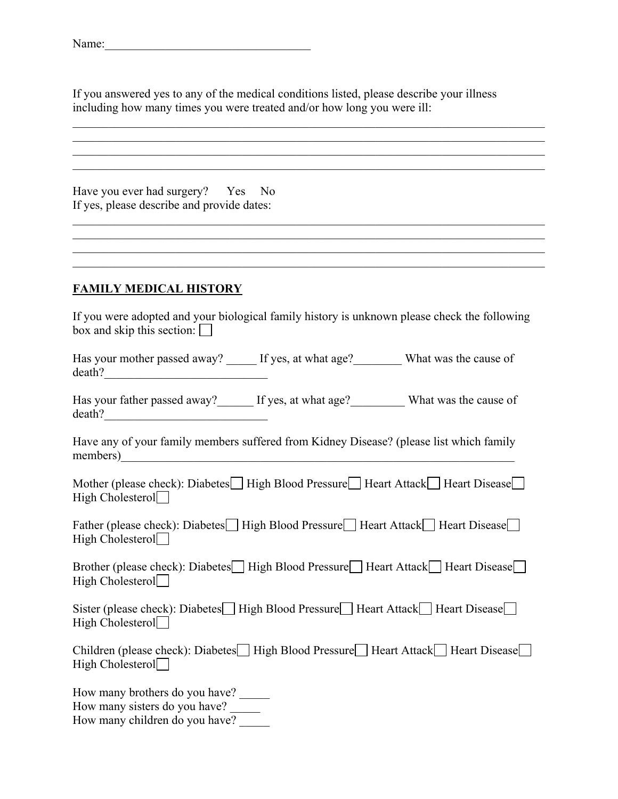If you answered yes to any of the medical conditions listed, please describe your illness including how many times you were treated and/or how long you were ill:

 $\mathcal{L}_\mathcal{L} = \{ \mathcal{L}_\mathcal{L} = \{ \mathcal{L}_\mathcal{L} = \{ \mathcal{L}_\mathcal{L} = \{ \mathcal{L}_\mathcal{L} = \{ \mathcal{L}_\mathcal{L} = \{ \mathcal{L}_\mathcal{L} = \{ \mathcal{L}_\mathcal{L} = \{ \mathcal{L}_\mathcal{L} = \{ \mathcal{L}_\mathcal{L} = \{ \mathcal{L}_\mathcal{L} = \{ \mathcal{L}_\mathcal{L} = \{ \mathcal{L}_\mathcal{L} = \{ \mathcal{L}_\mathcal{L} = \{ \mathcal{L}_\mathcal{$ 

 $\mathcal{L}_\mathcal{L} = \mathcal{L}_\mathcal{L} = \mathcal{L}_\mathcal{L} = \mathcal{L}_\mathcal{L} = \mathcal{L}_\mathcal{L} = \mathcal{L}_\mathcal{L} = \mathcal{L}_\mathcal{L} = \mathcal{L}_\mathcal{L} = \mathcal{L}_\mathcal{L} = \mathcal{L}_\mathcal{L} = \mathcal{L}_\mathcal{L} = \mathcal{L}_\mathcal{L} = \mathcal{L}_\mathcal{L} = \mathcal{L}_\mathcal{L} = \mathcal{L}_\mathcal{L} = \mathcal{L}_\mathcal{L} = \mathcal{L}_\mathcal{L}$ 

 $\mathcal{L}_\mathcal{L} = \{ \mathcal{L}_\mathcal{L} = \{ \mathcal{L}_\mathcal{L} = \{ \mathcal{L}_\mathcal{L} = \{ \mathcal{L}_\mathcal{L} = \{ \mathcal{L}_\mathcal{L} = \{ \mathcal{L}_\mathcal{L} = \{ \mathcal{L}_\mathcal{L} = \{ \mathcal{L}_\mathcal{L} = \{ \mathcal{L}_\mathcal{L} = \{ \mathcal{L}_\mathcal{L} = \{ \mathcal{L}_\mathcal{L} = \{ \mathcal{L}_\mathcal{L} = \{ \mathcal{L}_\mathcal{L} = \{ \mathcal{L}_\mathcal{$ 

 $\mathcal{L}_\mathcal{L} = \mathcal{L}_\mathcal{L} = \mathcal{L}_\mathcal{L} = \mathcal{L}_\mathcal{L} = \mathcal{L}_\mathcal{L} = \mathcal{L}_\mathcal{L} = \mathcal{L}_\mathcal{L} = \mathcal{L}_\mathcal{L} = \mathcal{L}_\mathcal{L} = \mathcal{L}_\mathcal{L} = \mathcal{L}_\mathcal{L} = \mathcal{L}_\mathcal{L} = \mathcal{L}_\mathcal{L} = \mathcal{L}_\mathcal{L} = \mathcal{L}_\mathcal{L} = \mathcal{L}_\mathcal{L} = \mathcal{L}_\mathcal{L}$ 

 $\mathcal{L}_\mathcal{L} = \{ \mathcal{L}_\mathcal{L} = \{ \mathcal{L}_\mathcal{L} = \{ \mathcal{L}_\mathcal{L} = \{ \mathcal{L}_\mathcal{L} = \{ \mathcal{L}_\mathcal{L} = \{ \mathcal{L}_\mathcal{L} = \{ \mathcal{L}_\mathcal{L} = \{ \mathcal{L}_\mathcal{L} = \{ \mathcal{L}_\mathcal{L} = \{ \mathcal{L}_\mathcal{L} = \{ \mathcal{L}_\mathcal{L} = \{ \mathcal{L}_\mathcal{L} = \{ \mathcal{L}_\mathcal{L} = \{ \mathcal{L}_\mathcal{$ 

 $\mathcal{L}_\mathcal{L} = \{ \mathcal{L}_\mathcal{L} = \{ \mathcal{L}_\mathcal{L} = \{ \mathcal{L}_\mathcal{L} = \{ \mathcal{L}_\mathcal{L} = \{ \mathcal{L}_\mathcal{L} = \{ \mathcal{L}_\mathcal{L} = \{ \mathcal{L}_\mathcal{L} = \{ \mathcal{L}_\mathcal{L} = \{ \mathcal{L}_\mathcal{L} = \{ \mathcal{L}_\mathcal{L} = \{ \mathcal{L}_\mathcal{L} = \{ \mathcal{L}_\mathcal{L} = \{ \mathcal{L}_\mathcal{L} = \{ \mathcal{L}_\mathcal{$ 

Have you ever had surgery? Yes No If yes, please describe and provide dates:

#### **FAMILY MEDICAL HISTORY**

If you were adopted and your biological family history is unknown please check the following box and skip this section:  $\Box$ 

Has your mother passed away? \_\_\_\_\_\_ If yes, at what age? \_\_\_\_\_\_\_\_\_ What was the cause of death?\_\_\_\_\_\_\_\_\_\_\_\_\_\_\_\_\_\_\_\_\_\_\_\_\_\_\_

Has your father passed away? If yes, at what age? What was the cause of death?

Have any of your family members suffered from Kidney Disease? (please list which family members)

Mother (please check): Diabetes  $\Box$  High Blood Pressure  $\Box$  Heart Attack  $\Box$  Heart Disease  $\Box$ High Cholesterol $\Box$ 

Father (please check): Diabetes High Blood Pressure Heart Attack Heart Disease High Cholesterol $\Box$ 

Brother (please check): Diabetes High Blood Pressure Heart Attack Heart Disease High Cholesterol $\Box$ 

Sister (please check): Diabetes High Blood Pressure Heart Attack Heart Disease High Cholesterol $\Box$ 

Children (please check): Diabetes High Blood Pressure Heart Attack Heart Disease High Cholesterol $\Box$ 

How many brothers do you have? How many sisters do you have?

How many children do you have?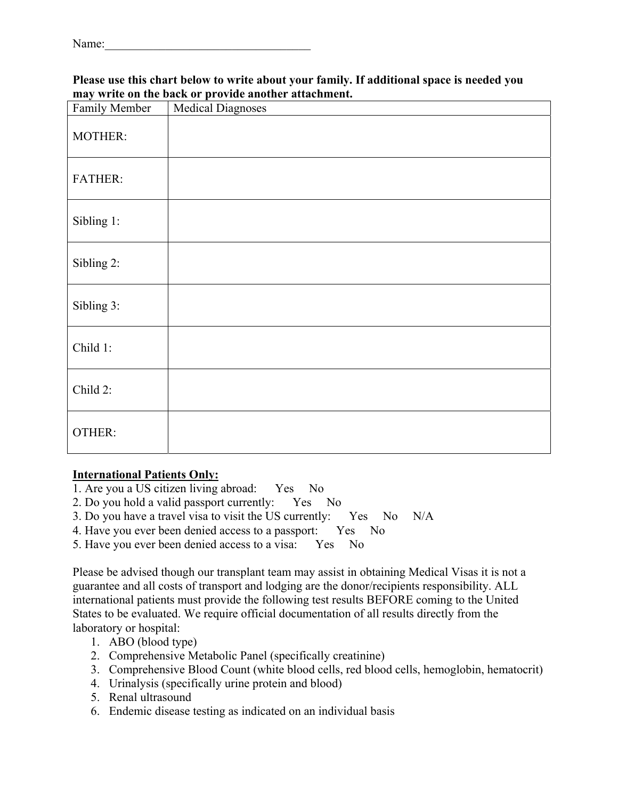#### **Please use this chart below to write about your family. If additional space is needed you may write on the back or provide another attachment.**

| Family Member  | <b>Medical Diagnoses</b> |
|----------------|--------------------------|
| MOTHER:        |                          |
| <b>FATHER:</b> |                          |
| Sibling 1:     |                          |
| Sibling 2:     |                          |
| Sibling 3:     |                          |
| Child 1:       |                          |
| Child 2:       |                          |
| OTHER:         |                          |

#### **International Patients Only:**

- 1. Are you a US citizen living abroad: Yes No
- 2. Do you hold a valid passport currently: Yes No
- 3. Do you have a travel visa to visit the US currently: Yes No N/A
- 4. Have you ever been denied access to a passport: Yes No
- 5. Have you ever been denied access to a visa: Yes No

Please be advised though our transplant team may assist in obtaining Medical Visas it is not a guarantee and all costs of transport and lodging are the donor/recipients responsibility. ALL international patients must provide the following test results BEFORE coming to the United States to be evaluated. We require official documentation of all results directly from the laboratory or hospital:

- 1. ABO (blood type)
- 2. Comprehensive Metabolic Panel (specifically creatinine)
- 3. Comprehensive Blood Count (white blood cells, red blood cells, hemoglobin, hematocrit)
- 4. Urinalysis (specifically urine protein and blood)
- 5. Renal ultrasound
- 6. Endemic disease testing as indicated on an individual basis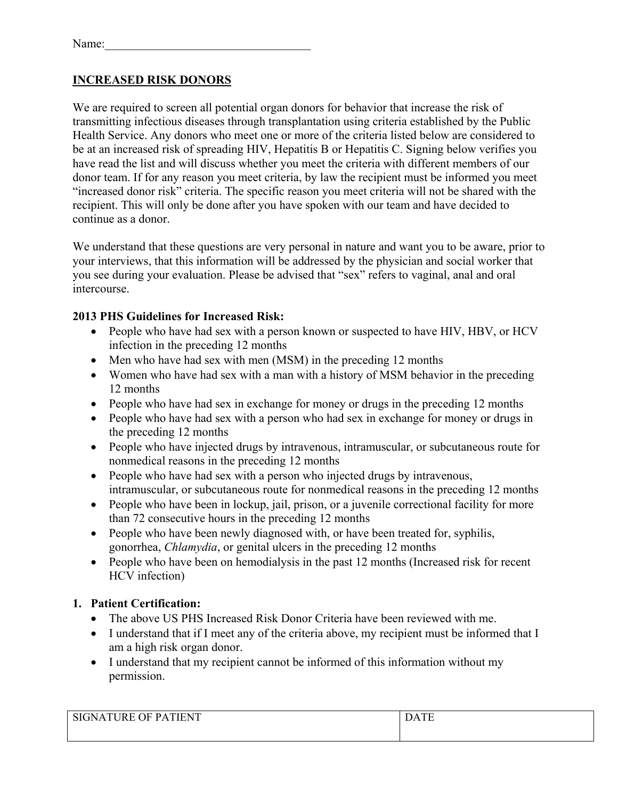#### **INCREASED RISK DONORS**

We are required to screen all potential organ donors for behavior that increase the risk of transmitting infectious diseases through transplantation using criteria established by the Public Health Service. Any donors who meet one or more of the criteria listed below are considered to be at an increased risk of spreading HIV, Hepatitis B or Hepatitis C. Signing below verifies you have read the list and will discuss whether you meet the criteria with different members of our donor team. If for any reason you meet criteria, by law the recipient must be informed you meet "increased donor risk" criteria. The specific reason you meet criteria will not be shared with the recipient. This will only be done after you have spoken with our team and have decided to continue as a donor.

We understand that these questions are very personal in nature and want you to be aware, prior to your interviews, that this information will be addressed by the physician and social worker that you see during your evaluation. Please be advised that "sex" refers to vaginal, anal and oral intercourse.

#### **2013 PHS Guidelines for Increased Risk:**

- People who have had sex with a person known or suspected to have HIV, HBV, or HCV infection in the preceding 12 months
- Men who have had sex with men (MSM) in the preceding 12 months
- Women who have had sex with a man with a history of MSM behavior in the preceding 12 months
- People who have had sex in exchange for money or drugs in the preceding 12 months
- People who have had sex with a person who had sex in exchange for money or drugs in the preceding 12 months
- People who have injected drugs by intravenous, intramuscular, or subcutaneous route for nonmedical reasons in the preceding 12 months
- People who have had sex with a person who injected drugs by intravenous, intramuscular, or subcutaneous route for nonmedical reasons in the preceding 12 months
- People who have been in lockup, jail, prison, or a juvenile correctional facility for more than 72 consecutive hours in the preceding 12 months
- People who have been newly diagnosed with, or have been treated for, syphilis, gonorrhea, *Chlamydia*, or genital ulcers in the preceding 12 months
- People who have been on hemodialysis in the past 12 months (Increased risk for recent HCV infection)

#### **1. Patient Certification:**

- The above US PHS Increased Risk Donor Criteria have been reviewed with me.
- I understand that if I meet any of the criteria above, my recipient must be informed that I am a high risk organ donor.
- I understand that my recipient cannot be informed of this information without my permission.

| T<br><b>SIC</b><br>I R H<br>'HN. |  |
|----------------------------------|--|
|                                  |  |